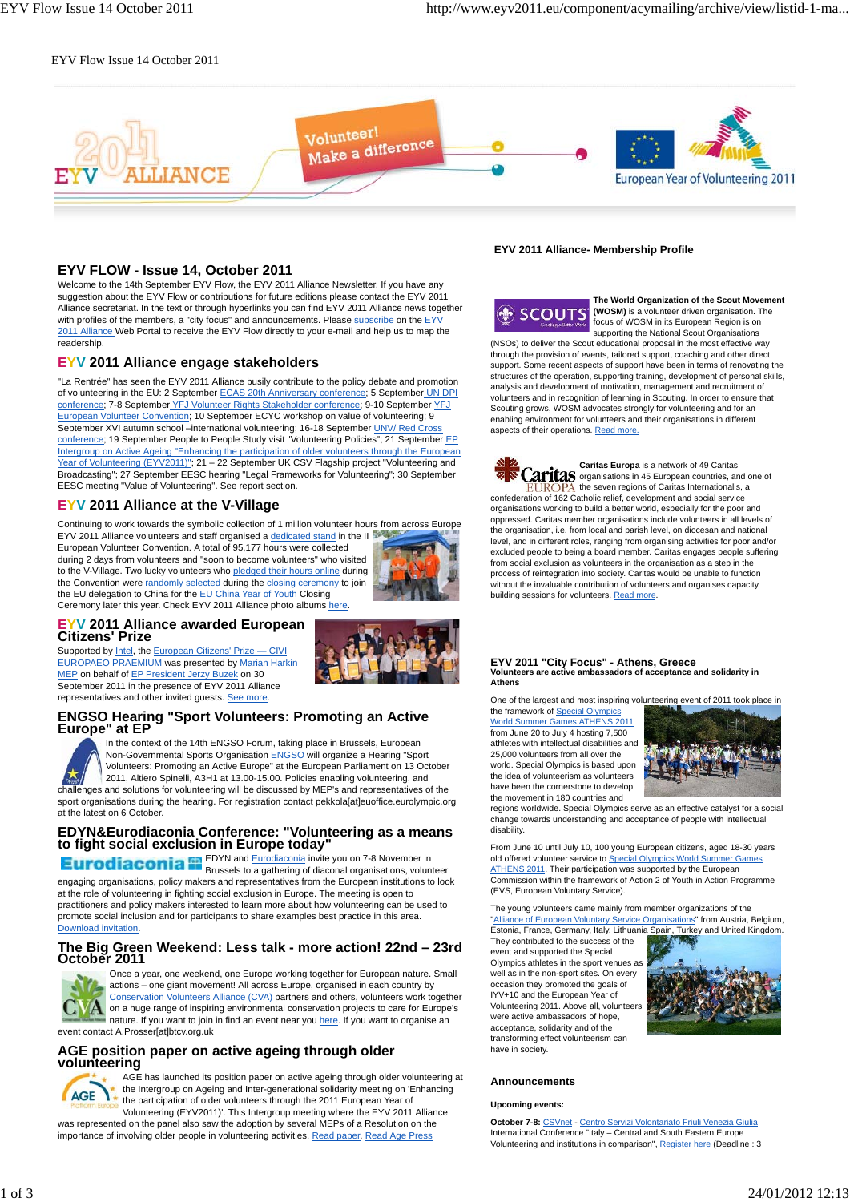### EYV Flow Issue 14 October 2011



### **EYV FLOW - Issue 14, October 2011**

Welcome to the 14th September EYV Flow, the EYV 2011 Alliance Newsletter. If you have any suggestion about the EYV Flow or contributions for future editions please contact the EYV 2011 Alliance secretariat. In the text or through hyperlinks you can find EYV 2011 Alliance news together with profiles of the members, a "city focus" and announcements. Please subscribe on the EYV 2011 Alliance Web Portal to receive the EYV Flow directly to your e-mail and help us to map the readership.

### **EYV 2011 Alliance engage stakeholders**

"La Rentrée" has seen the EYV 2011 Alliance busily contribute to the policy debate and promotion of volunteering in the EU: 2 September ECAS 20th Anniversary conference; 5 September UN DPI conference; 7-8 September YFJ Volunteer Rights Stakeholder conference; 9-10 September YFJ European Volunteer Convention; 10 September ECYC workshop on value of volunteering; 9 September XVI autumn school –international volunteering; 16-18 September UNV/ Red Cross conference; 19 September People to People Study visit "Volunteering Policies"; 21 September EP Intergroup on Active Ageing "Enhancing the participation of older volunteers through the European Year of Volunteering (EYV2011)"; 21 - 22 September UK CSV Flagship project "Volunteering and Broadcasting"; 27 September EESC hearing "Legal Frameworks for Volunteering"; 30 September EESC meeting "Value of Volunteering". See report section.

### **EYV 2011 Alliance at the V-Village**

Continuing to work towards the symbolic collection of 1 million volunteer hours from across Europe EYV 2011 Alliance volunteers and staff organised a dedicated stand in the II

European Volunteer Convention. A total of 95,177 hours were collected during 2 days from volunteers and "soon to become volunteers" who visited to the V-Village. Two lucky volunteers who pledged their hours online during the Convention were randomly selected during the closing ceremony to join the EU delegation to China for the EU China Year of Youth Closing Ceremony later this year. Check EYV 2011 Alliance photo albums here.



# **EYV 2011 Alliance awarded European Citizens' Prize**

Supported by Intel, the European Citizens' Prize - CIVI EUROPAEO PRAEMIUM was presented by Marian Harkin MEP on behalf of EP President Jerzy Buzek on 30 September 2011 in the presence of EYV 2011 Alliance representatives and other invited guests. See more.





In the context of the 14th ENGSO Forum, taking place in Brussels, European Non-Governmental Sports Organisation **ENGSO** will organize a Hearing "Sport Volunteers: Promoting an Active Europe" at the European Parliament on 13 October 2011, Altiero Spinelli, A3H1 at 13.00-15.00. Policies enabling volunteering, and challenges and solutions for volunteering will be discussed by MEP's and representatives of the sport organisations during the hearing. For registration contact pekkola[at]euoffice.eurolympic.org at the latest on 6 October.

# **EDYN&Eurodiaconia Conference: "Volunteering as a means to fight social exclusion in Europe today"**

EDYN and Eurodiaconia invite you on 7-8 November in Brussels to a gathering of diaconal organisations, volunteer engaging organisations, policy makers and representatives from the European institutions to look at the role of volunteering in fighting social exclusion in Europe. The meeting is open to practitioners and policy makers interested to learn more about how volunteering can be used to promote social inclusion and for participants to share examples best practice in this area. Download invitation.

### **The Big Green Weekend: Less talk - more action! 22nd – 23rd October 2011**



Once a year, one weekend, one Europe working together for European nature. Small actions – one giant movement! All across Europe, organised in each country by Conservation Volunteers Alliance (CVA) partners and others, volunteers work together **A** on a huge range of inspiring environmental conservation projects to care for Europe's nature. If you want to join in find an event near you here. If you want to organise an event contact A.Prosser[at]btcv.org.uk

### **AGE position paper on active ageing through older volunteering**



AGE has launched its position paper on active ageing through older volunteering at the Intergroup on Ageing and Inter-generational solidarity meeting on 'Enhancing the participation of older volunteers through the 2011 European Year of Volunteering (EYV2011)'. This Intergroup meeting where the EYV 2011 Alliance

was represented on the panel also saw the adoption by several MEPs of a Resolution on the importance of involving older people in volunteering activities. Read paper. Read Age Press

### **EYV 2011 Alliance- Membership Profile**



**The World Organization of the Scout Movement (WOSM)** is a volunteer driven organisation. The focus of WOSM in its European Region is on supporting the National Scout Organisations

(NSOs) to deliver the Scout educational proposal in the most effective way through the provision of events, tailored support, coaching and other direct support. Some recent aspects of support have been in terms of renovating the structures of the operation, supporting training, development of personal skills, analysis and development of motivation, management and recruitment of volunteers and in recognition of learning in Scouting. In order to ensure that Scouting grows, WOSM advocates strongly for volunteering and for an enabling environment for volunteers and their organisations in different aspects of their operations. Read more.

**Caritas Europa** is a network of 49 Caritas Caritas organisations in 45 European countries, and one of **EUROPA** the seven regions of Caritas Internationalis, a confederation of 162 Catholic relief, development and social service organisations working to build a better world, especially for the poor and oppressed. Caritas member organisations include volunteers in all levels of the organisation, i.e. from local and parish level, on diocesan and national level, and in different roles, ranging from organising activities for poor and/or excluded people to being a board member. Caritas engages people suffering from social exclusion as volunteers in the organisation as a step in the process of reintegration into society. Caritas would be unable to function .<br>without the invaluable contribution of volunteers and organises capacity building sessions for volunteers. Read more.

# **EYV 2011 "City Focus" - Athens, Greece Volunteers are active ambassadors of acceptance and solidarity in Athens**

One of the largest and most inspiring volunteering event of 2011 took place in the framework of Special Olympics World Summer Games ATHENS 2011

from June 20 to July 4 hosting 7,500 athletes with intellectual disabilities and 25,000 volunteers from all over the world. Special Olympics is based upon the idea of volunteerism as volunteers have been the cornerstone to develop the movement in 180 countries and



regions worldwide. Special Olympics serve as an effective catalyst for a social change towards understanding and acceptance of people with intellectual disability.

From June 10 until July 10, 100 young European citizens, aged 18-30 years old offered volunteer service to Special Olympics World Summer Games ATHENS 2011. Their participation was supported by the European Commission within the framework of Action 2 of Youth in Action Programme (EVS, European Voluntary Service).

The young volunteers came mainly from member organizations of the "Alliance of European Voluntary Service Organisations" from Austria, Belgium, Estonia, France, Germany, Italy, Lithuania Spain, Turkey and United Kingdom.

They contributed to the success of the event and supported the Special Olympics athletes in the sport venues as well as in the non-sport sites. On every occasion they promoted the goals of IYV+10 and the European Year of Volunteering 2011. Above all, volunteers were active ambassadors of hope, acceptance, solidarity and of the transforming effect volunteerism can have in society.



### **Announcements**

#### **Upcoming events:**

**October 7-8:** CSVnet - Centro Servizi Volontariato Friuli Venezia Giulia International Conference "Italy – Central and South Eastern Europe Volunteering and institutions in comparison", Register here (Deadline : 3